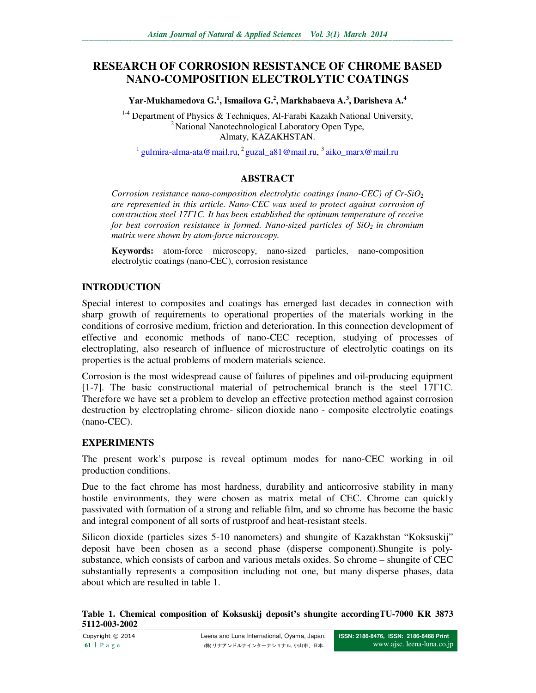# **RESEARCH OF CORROSION RESISTANCE OF CHROME BASED NANO-COMPOSITION ELECTROLYTIC COATINGS**

**Yar-Mukhamedova G.<sup>1</sup> , Ismailova G.<sup>2</sup> , Markhabaeva A.<sup>3</sup> , Darisheva А. 4**

 $1-4$  Department of Physics & Techniques, Al-Farabi Kazakh National University, <sup>2</sup> National Nanotechnological Laboratory Open Type, Almaty, KAZAKHSTAN.

<sup>1</sup> gulmira-alma-ata@mail.ru, <sup>2</sup> guzal\_a81@mail.ru, <sup>3</sup> aiko\_marx@mail.ru

## **ABSTRACT**

*Corrosion resistance nano-composition electrolytic coatings (nano-CEC) of Cr-SiO<sup>2</sup> are represented in this article. Nano-CEC was used to protect against corrosion of construction steel 17Г1C. It has been established the optimum temperature of receive for best corrosion resistance is formed. Nano-sized particles of SiO2 in chromium matrix were shown by atom-force microscopy.* 

**Keywords:** atom-force microscopy, nano-sized particles, nano-composition electrolytic coatings (nano-CEC), corrosion resistance

## **INTRODUCTION**

Special interest to composites and coatings has emerged last decades in connection with sharp growth of requirements to operational properties of the materials working in the conditions of corrosive medium, friction and deterioration. In this connection development of effective and economic methods of nano-CEC reception, studying of processes of electroplating, also research of influence of microstructure of electrolytic coatings on its properties is the actual problems of modern materials science.

Corrosion is the most widespread cause of failures of pipelines and oil-producing equipment [1-7]. The basic constructional material of petrochemical branch is the steel 17Г1С. Therefore we have set a problem to develop an effective protection method against corrosion destruction by electroplating chrome- silicon dioxide nano - composite electrolytic coatings (nano-CEC).

## **EXPERIMENTS**

The present work's purpose is reveal optimum modes for nano-CEC working in oil production conditions.

Due to the fact chrome has most hardness, durability and anticorrosive stability in many hostile environments, they were chosen as matrix metal of CEC. Chrome can quickly passivated with formation of a strong and reliable film, and so chrome has become the basic and integral component of all sorts of rustproof and heat-resistant steels.

Silicon dioxide (particles sizes 5-10 nanometers) and shungite of Kazakhstan "Koksuskij" deposit have been chosen as a second phase (disperse component).Shungite is polysubstance, which consists of carbon and various metals oxides. So chrome – shungite of CEC substantially represents a composition including not one, but many disperse phases, data about which are resulted in table 1.

#### **Table 1. Chemical composition of Koksuskij deposit's shungite accordingTU-7000 KR 3873 5112-003-2002**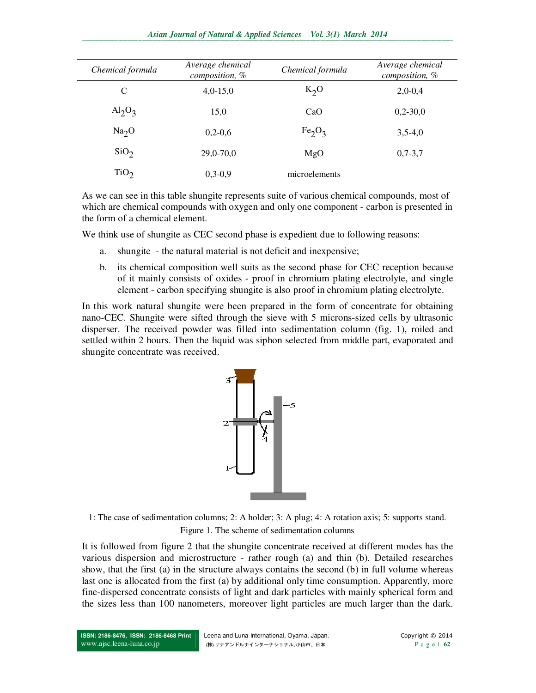#### *Asian Journal of Natural & Applied Sciences Vol. 3(1) March 2014*  ,我们就会在这里,我们就会在这里,我们就会在这里,我们就会在这里,我们就会在这里,我们就会在这里,我们就会在这里,我们就会在这里,我们就会在这里,我们就会在这里

| Chemical formula  | Average chemical<br>composition, % | Chemical formula               | Average chemical<br>composition, % |
|-------------------|------------------------------------|--------------------------------|------------------------------------|
| C                 | $4,0-15,0$                         | $K_2O$                         | $2,0-0,4$                          |
| $Al_2O_3$         | 15,0                               | CaO                            | $0,2-30,0$                         |
| Na <sub>2</sub> O | $0,2-0,6$                          | Fe <sub>2</sub> O <sub>3</sub> | $3,5-4,0$                          |
| SiO <sub>2</sub>  | $29,0-70,0$                        | MgO                            | $0,7-3,7$                          |
| TiO <sub>2</sub>  | $0,3-0,9$                          | microelements                  |                                    |

As we can see in this table shungite represents suite of various chemical compounds, most of which are chemical compounds with oxygen and only one component - carbon is presented in the form of a chemical element.

We think use of shungite as CEC second phase is expedient due to following reasons:

- a. shungite the natural material is not deficit and inexpensive;
- b. its chemical composition well suits as the second phase for CEC reception because of it mainly consists of oxides - proof in chromium plating electrolyte, and single element - carbon specifying shungite is also proof in chromium plating electrolyte.

In this work natural shungite were been prepared in the form of concentrate for obtaining nano-CEC. Shungite were sifted through the sieve with 5 microns-sized cells by ultrasonic disperser. The received powder was filled into sedimentation column (fig. 1), roiled and settled within 2 hours. Then the liquid was siphon selected from middle part, evaporated and shungite concentrate was received.



1: The case of sedimentation columns; 2: A holder; 3: A plug; 4: A rotation axis; 5: supports stand. Figure 1. The scheme of sedimentation columns

It is followed from figure 2 that the shungite concentrate received at different modes has the various dispersion and microstructure - rather rough (a) and thin (b). Detailed researches show, that the first (a) in the structure always contains the second (b) in full volume whereas last one is allocated from the first (a) by additional only time consumption. Apparently, more fine-dispersed concentrate consists of light and dark particles with mainly spherical form and the sizes less than 100 nanometers, moreover light particles are much larger than the dark.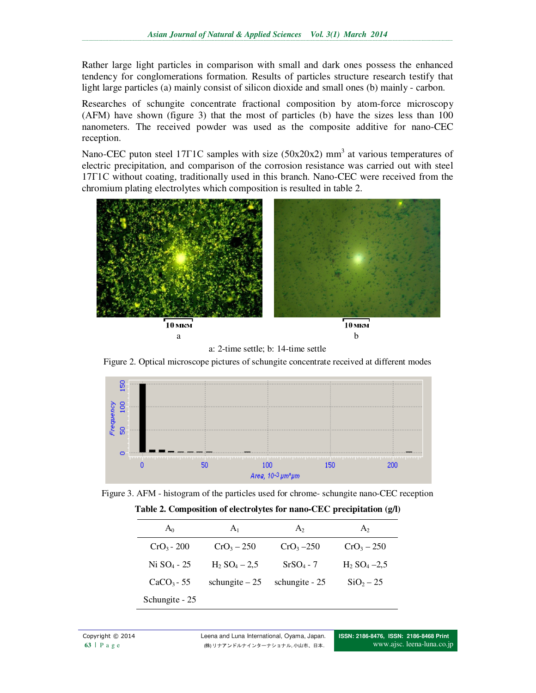Rather large light particles in comparison with small and dark ones possess the enhanced tendency for conglomerations formation. Results of particles structure research testify that light large particles (a) mainly consist of silicon dioxide and small ones (b) mainly - carbon.

Researches of schungite concentrate fractional composition by atom-force microscopy (АFМ) have shown (figure 3) that the most of particles (b) have the sizes less than 100 nanometers. The received powder was used as the composite additive for nano-CEC reception.

Nano-CEC puton steel 17 $\Gamma$ 1C samples with size (50x20x2) mm<sup>3</sup> at various temperatures of electric precipitation, and comparison of the corrosion resistance was carried out with steel 17Г1С without coating, traditionally used in this branch. Nano-CEC were received from the chromium plating electrolytes which composition is resulted in table 2.





Figure 2. Optical microscope pictures of schungite concentrate received at different modes





**Table 2. Composition of electrolytes for nano-CEC precipitation (g/l)** 

| A <sub>0</sub> | A <sub>1</sub>              | A <sub>2</sub> | A <sub>2</sub>             |
|----------------|-----------------------------|----------------|----------------------------|
| $CrO3 - 200$   | $CrO3 - 250$                | $CrO3 - 250$   | $CrO_3 - 250$              |
| $Ni SO4 - 25$  | $H_2$ SO <sub>4</sub> – 2,5 | $SrSO4 - 7$    | $H_2$ SO <sub>4</sub> –2.5 |
| $CaCO3 - 55$   | schungite $-25$             | schungite - 25 | $SiO2 - 25$                |
| Schungite - 25 |                             |                |                            |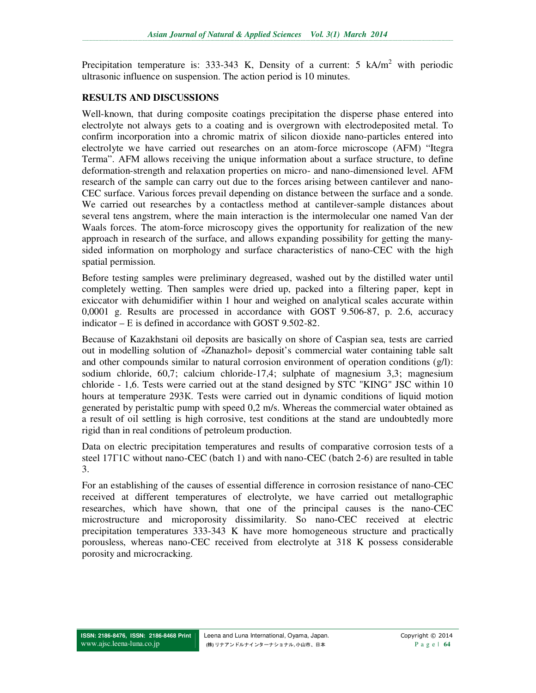Precipitation temperature is: 333-343 K, Density of a current: 5  $kA/m^2$  with periodic ultrasonic influence on suspension. The action period is 10 minutes.

### **RESULTS AND DISCUSSIONS**

Well-known, that during composite coatings precipitation the disperse phase entered into electrolyte not always gets to a coating and is overgrown with electrodeposited metal. To confirm incorporation into a chromic matrix of silicon dioxide nano-particles entered into electrolyte we have carried out researches on an atom-force microscope (АFМ) "Itegra Terma". АFМ allows receiving the unique information about a surface structure, to define deformation-strength and relaxation properties on micro- and nano-dimensioned level. АFМ research of the sample can carry out due to the forces arising between cantilever and nano-CEC surface. Various forces prevail depending on distance between the surface and a sonde. We carried out researches by a contactless method at cantilever-sample distances about several tens angstrem, where the main interaction is the intermolecular one named Van der Waals forces. The atom-force microscopy gives the opportunity for realization of the new approach in research of the surface, and allows expanding possibility for getting the manysided information on morphology and surface characteristics of nano-CEC with the high spatial permission.

Before testing samples were preliminary degreased, washed out by the distilled water until completely wetting. Then samples were dried up, packed into a filtering paper, kept in exiccator with dehumidifier within 1 hour and weighed on analytical scales accurate within 0,0001 g. Results are processed in accordance with GOST 9.506-87, p. 2.6, accuracy indicator – Е is defined in accordance with GOST 9.502-82.

Because of Kazakhstani oil deposits are basically on shore of Caspian sea, tests are carried out in modelling solution of «Zhanazhol» deposit's commercial water containing table salt and other compounds similar to natural corrosion environment of operation conditions (g/l): sodium chloride, 60,7; calcium chloride-17,4; sulphate of magnesium 3,3; magnesium chloride - 1,6. Tests were carried out at the stand designed by STC "KING" JSC within 10 hours at temperature 293К. Tests were carried out in dynamic conditions of liquid motion generated by peristaltic pump with speed 0,2 m/s. Whereas the commercial water obtained as a result of oil settling is high corrosive, test conditions at the stand are undoubtedly more rigid than in real conditions of petroleum production.

Data on electric precipitation temperatures and results of comparative corrosion tests of a steel 17 $\Gamma$ 1C without nano-CEC (batch 1) and with nano-CEC (batch 2-6) are resulted in table 3.

For an establishing of the causes of essential difference in corrosion resistance of nano-CEC received at different temperatures of electrolyte, we have carried out metallographic researches, which have shown, that one of the principal causes is the nano-CEC microstructure and microporosity dissimilarity. So nano-CEC received at electric precipitation temperatures 333-343 K have more homogeneous structure and practically porousless, whereas nano-CEC received from electrolyte at 318 K possess considerable porosity and microcracking.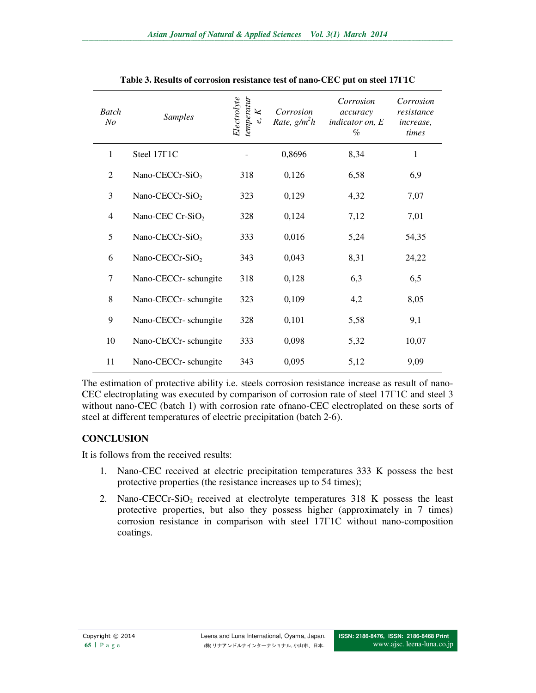| <b>Batch</b><br>N <sub>O</sub> | <b>Samples</b>              | temperatur<br>Electrolyte<br>K<br>e, | Corrosion<br>Rate, $g/m^2h$ | Corrosion<br>accuracy<br>indicator on, E<br>$\%$ | Corrosion<br>resistance<br><i>increase</i> ,<br>times |
|--------------------------------|-----------------------------|--------------------------------------|-----------------------------|--------------------------------------------------|-------------------------------------------------------|
| $\mathbf{1}$                   | Steel 17 <sub>F1C</sub>     |                                      | 0,8696                      | 8,34                                             | $\mathbf{1}$                                          |
| $\overline{2}$                 | Nano-CECCr-SiO <sub>2</sub> | 318                                  | 0,126                       | 6,58                                             | 6,9                                                   |
| 3                              | Nano-CECCr-SiO <sub>2</sub> | 323                                  | 0,129                       | 4,32                                             | 7,07                                                  |
| 4                              | Nano-CEC Cr-Si $O_2$        | 328                                  | 0,124                       | 7,12                                             | 7,01                                                  |
| 5                              | Nano-CECCr-SiO <sub>2</sub> | 333                                  | 0,016                       | 5,24                                             | 54,35                                                 |
| 6                              | Nano-CECCr-SiO <sub>2</sub> | 343                                  | 0,043                       | 8,31                                             | 24,22                                                 |
| $\tau$                         | Nano-CECCr-schungite        | 318                                  | 0,128                       | 6,3                                              | 6,5                                                   |
| 8                              | Nano-CECCr- schungite       | 323                                  | 0,109                       | 4,2                                              | 8,05                                                  |
| 9                              | Nano-CECCr-schungite        | 328                                  | 0,101                       | 5,58                                             | 9,1                                                   |
| 10                             | Nano-CECCr-schungite        | 333                                  | 0,098                       | 5,32                                             | 10,07                                                 |
| 11                             | Nano-CECCr-schungite        | 343                                  | 0,095                       | 5,12                                             | 9,09                                                  |

|  |  |  | Table 3. Results of corrosion resistance test of nano-CEC put on steel 17T1C |
|--|--|--|------------------------------------------------------------------------------|
|  |  |  |                                                                              |

The estimation of protective ability i.e. steels corrosion resistance increase as result of nano-CEC electroplating was executed by comparison of corrosion rate of steel 17Г1С and steel 3 without nano-CEC (batch 1) with corrosion rate ofnano-CEC electroplated on these sorts of steel at different temperatures of electric precipitation (batch 2-6).

## **CONCLUSION**

It is follows from the received results:

- 1. Nano-CEC received at electric precipitation temperatures 333 K possess the best protective properties (the resistance increases up to 54 times);
- 2. Nano-CECCr-SiO2 received at electrolyte temperatures 318 K possess the least protective properties, but also they possess higher (approximately in 7 times) corrosion resistance in comparison with steel 17Г1С without nano-composition coatings.